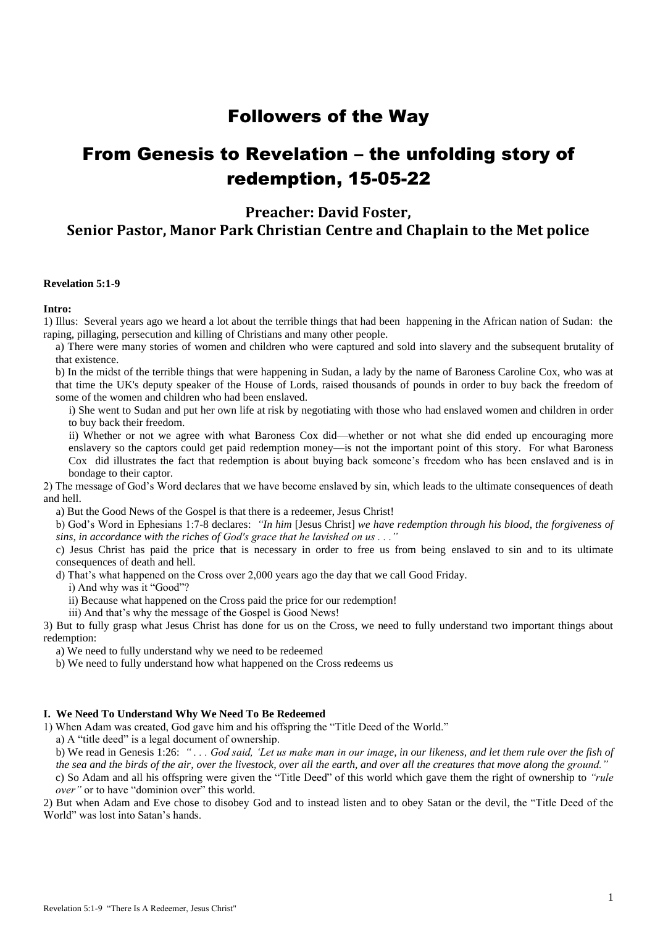## Followers of the Way

# From Genesis to Revelation – the unfolding story of redemption, 15-05-22

**Preacher: David Foster,**

**Senior Pastor, Manor Park Christian Centre and Chaplain to the Met police**

### **Revelation 5:1-9**

### **Intro:**

1) Illus: Several years ago we heard a lot about the terrible things that had been happening in the African nation of Sudan: the raping, pillaging, persecution and killing of Christians and many other people.

a) There were many stories of women and children who were captured and sold into slavery and the subsequent brutality of that existence.

b) In the midst of the terrible things that were happening in Sudan, a lady by the name of Baroness Caroline Cox, who was at that time the UK's deputy speaker of the House of Lords, raised thousands of pounds in order to buy back the freedom of some of the women and children who had been enslaved.

i) She went to Sudan and put her own life at risk by negotiating with those who had enslaved women and children in order to buy back their freedom.

ii) Whether or not we agree with what Baroness Cox did—whether or not what she did ended up encouraging more enslavery so the captors could get paid redemption money—is not the important point of this story. For what Baroness Cox did illustrates the fact that redemption is about buying back someone's freedom who has been enslaved and is in bondage to their captor.

2) The message of God's Word declares that we have become enslaved by sin, which leads to the ultimate consequences of death and hell.

a) But the Good News of the Gospel is that there is a redeemer, Jesus Christ!

b) God's Word in Ephesians 1:7-8 declares: *"In him* [Jesus Christ] *we have redemption through his blood, the forgiveness of sins, in accordance with the riches of God's grace that he lavished on us . . ."*

c) Jesus Christ has paid the price that is necessary in order to free us from being enslaved to sin and to its ultimate consequences of death and hell.

d) That's what happened on the Cross over 2,000 years ago the day that we call Good Friday.

i) And why was it "Good"?

ii) Because what happened on the Cross paid the price for our redemption!

iii) And that's why the message of the Gospel is Good News!

3) But to fully grasp what Jesus Christ has done for us on the Cross, we need to fully understand two important things about redemption:

a) We need to fully understand why we need to be redeemed

b) We need to fully understand how what happened on the Cross redeems us

#### **I. We Need To Understand Why We Need To Be Redeemed**

1) When Adam was created, God gave him and his offspring the "Title Deed of the World."

a) A "title deed" is a legal document of ownership.

b) We read in Genesis 1:26: *" . . . God said, 'Let us make man in our image, in our likeness, and let them rule over the fish of the sea and the birds of the air, over the livestock, over all the earth, and over all the creatures that move along the ground."* c) So Adam and all his offspring were given the "Title Deed" of this world which gave them the right of ownership to *"rule* 

*over"* or to have "dominion over" this world.

2) But when Adam and Eve chose to disobey God and to instead listen and to obey Satan or the devil, the "Title Deed of the World" was lost into Satan's hands.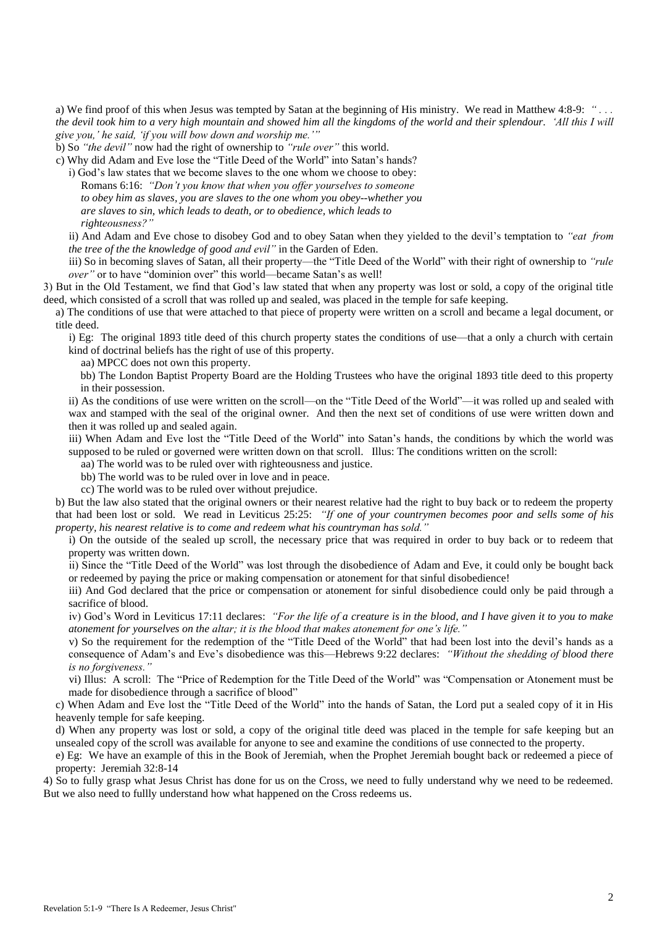a) We find proof of this when Jesus was tempted by Satan at the beginning of His ministry. We read in Matthew 4:8-9: *" . . . the devil took him to a very high mountain and showed him all the kingdoms of the world and their splendour. 'All this I will give you,' he said, 'if you will bow down and worship me.'"*

b) So *"the devil"* now had the right of ownership to *"rule over"* this world.

c) Why did Adam and Eve lose the "Title Deed of the World" into Satan's hands?

i) God's law states that we become slaves to the one whom we choose to obey: Romans 6:16: *"Don't you know that when you offer yourselves to someone to obey him as slaves, you are slaves to the one whom you obey--whether you are slaves to sin, which leads to death, or to obedience, which leads to righteousness?"*

ii) And Adam and Eve chose to disobey God and to obey Satan when they yielded to the devil's temptation to *"eat from the tree of the the knowledge of good and evil"* in the Garden of Eden.

iii) So in becoming slaves of Satan, all their property—the "Title Deed of the World" with their right of ownership to *"rule over"* or to have "dominion over" this world—became Satan's as well!

3) But in the Old Testament, we find that God's law stated that when any property was lost or sold, a copy of the original title deed, which consisted of a scroll that was rolled up and sealed, was placed in the temple for safe keeping.

a) The conditions of use that were attached to that piece of property were written on a scroll and became a legal document, or title deed.

i) Eg: The original 1893 title deed of this church property states the conditions of use—that a only a church with certain kind of doctrinal beliefs has the right of use of this property.

aa) MPCC does not own this property.

bb) The London Baptist Property Board are the Holding Trustees who have the original 1893 title deed to this property in their possession.

ii) As the conditions of use were written on the scroll—on the "Title Deed of the World"—it was rolled up and sealed with wax and stamped with the seal of the original owner. And then the next set of conditions of use were written down and then it was rolled up and sealed again.

iii) When Adam and Eve lost the "Title Deed of the World" into Satan's hands, the conditions by which the world was supposed to be ruled or governed were written down on that scroll. Illus: The conditions written on the scroll:

aa) The world was to be ruled over with righteousness and justice.

bb) The world was to be ruled over in love and in peace.

cc) The world was to be ruled over without prejudice.

b) But the law also stated that the original owners or their nearest relative had the right to buy back or to redeem the property that had been lost or sold. We read in Leviticus 25:25: *"If one of your countrymen becomes poor and sells some of his property, his nearest relative is to come and redeem what his countryman has sold."*

i) On the outside of the sealed up scroll, the necessary price that was required in order to buy back or to redeem that property was written down.

ii) Since the "Title Deed of the World" was lost through the disobedience of Adam and Eve, it could only be bought back or redeemed by paying the price or making compensation or atonement for that sinful disobedience!

iii) And God declared that the price or compensation or atonement for sinful disobedience could only be paid through a sacrifice of blood.

iv) God's Word in Leviticus 17:11 declares: *"For the life of a creature is in the blood, and I have given it to you to make atonement for yourselves on the altar; it is the blood that makes atonement for one's life."*

v) So the requirement for the redemption of the "Title Deed of the World" that had been lost into the devil's hands as a consequence of Adam's and Eve's disobedience was this—Hebrews 9:22 declares: *"Without the shedding of blood there is no forgiveness."*

vi) Illus: A scroll: The "Price of Redemption for the Title Deed of the World" was "Compensation or Atonement must be made for disobedience through a sacrifice of blood"

c) When Adam and Eve lost the "Title Deed of the World" into the hands of Satan, the Lord put a sealed copy of it in His heavenly temple for safe keeping.

d) When any property was lost or sold, a copy of the original title deed was placed in the temple for safe keeping but an unsealed copy of the scroll was available for anyone to see and examine the conditions of use connected to the property.

e) Eg: We have an example of this in the Book of Jeremiah, when the Prophet Jeremiah bought back or redeemed a piece of property: Jeremiah 32:8-14

4) So to fully grasp what Jesus Christ has done for us on the Cross, we need to fully understand why we need to be redeemed. But we also need to fullly understand how what happened on the Cross redeems us.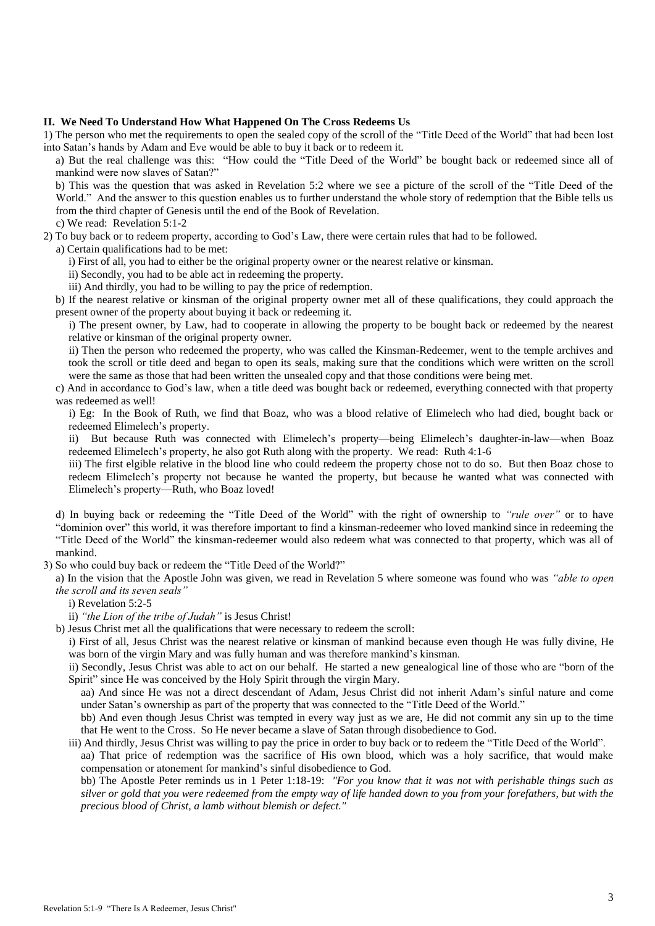#### **II. We Need To Understand How What Happened On The Cross Redeems Us**

1) The person who met the requirements to open the sealed copy of the scroll of the "Title Deed of the World" that had been lost into Satan's hands by Adam and Eve would be able to buy it back or to redeem it.

a) But the real challenge was this: "How could the "Title Deed of the World" be bought back or redeemed since all of mankind were now slaves of Satan?"

b) This was the question that was asked in Revelation 5:2 where we see a picture of the scroll of the "Title Deed of the World." And the answer to this question enables us to further understand the whole story of redemption that the Bible tells us from the third chapter of Genesis until the end of the Book of Revelation.

c) We read: Revelation 5:1-2

2) To buy back or to redeem property, according to God's Law, there were certain rules that had to be followed.

a) Certain qualifications had to be met:

i) First of all, you had to either be the original property owner or the nearest relative or kinsman.

ii) Secondly, you had to be able act in redeeming the property.

iii) And thirdly, you had to be willing to pay the price of redemption.

b) If the nearest relative or kinsman of the original property owner met all of these qualifications, they could approach the present owner of the property about buying it back or redeeming it.

i) The present owner, by Law, had to cooperate in allowing the property to be bought back or redeemed by the nearest relative or kinsman of the original property owner.

ii) Then the person who redeemed the property, who was called the Kinsman-Redeemer, went to the temple archives and took the scroll or title deed and began to open its seals, making sure that the conditions which were written on the scroll were the same as those that had been written the unsealed copy and that those conditions were being met.

c) And in accordance to God's law, when a title deed was bought back or redeemed, everything connected with that property was redeemed as well!

i) Eg: In the Book of Ruth, we find that Boaz, who was a blood relative of Elimelech who had died, bought back or redeemed Elimelech's property.

ii) But because Ruth was connected with Elimelech's property—being Elimelech's daughter-in-law—when Boaz redeemed Elimelech's property, he also got Ruth along with the property. We read: Ruth 4:1-6

iii) The first elgible relative in the blood line who could redeem the property chose not to do so. But then Boaz chose to redeem Elimelech's property not because he wanted the property, but because he wanted what was connected with Elimelech's property—Ruth, who Boaz loved!

d) In buying back or redeeming the "Title Deed of the World" with the right of ownership to *"rule over"* or to have "dominion over" this world, it was therefore important to find a kinsman-redeemer who loved mankind since in redeeming the "Title Deed of the World" the kinsman-redeemer would also redeem what was connected to that property, which was all of mankind.

3) So who could buy back or redeem the "Title Deed of the World?"

a) In the vision that the Apostle John was given, we read in Revelation 5 where someone was found who was *"able to open the scroll and its seven seals"*

i) Revelation 5:2-5

ii) *"the Lion of the tribe of Judah"* is Jesus Christ!

b) Jesus Christ met all the qualifications that were necessary to redeem the scroll:

i) First of all, Jesus Christ was the nearest relative or kinsman of mankind because even though He was fully divine, He was born of the virgin Mary and was fully human and was therefore mankind's kinsman.

ii) Secondly, Jesus Christ was able to act on our behalf. He started a new genealogical line of those who are "born of the Spirit" since He was conceived by the Holy Spirit through the virgin Mary.

aa) And since He was not a direct descendant of Adam, Jesus Christ did not inherit Adam's sinful nature and come under Satan's ownership as part of the property that was connected to the "Title Deed of the World."

bb) And even though Jesus Christ was tempted in every way just as we are, He did not commit any sin up to the time that He went to the Cross. So He never became a slave of Satan through disobedience to God.

iii) And thirdly, Jesus Christ was willing to pay the price in order to buy back or to redeem the "Title Deed of the World". aa) That price of redemption was the sacrifice of His own blood, which was a holy sacrifice, that would make compensation or atonement for mankind's sinful disobedience to God.

bb) The Apostle Peter reminds us in 1 Peter 1:18-19: *"For you know that it was not with perishable things such as silver or gold that you were redeemed from the empty way of life handed down to you from your forefathers, but with the precious blood of Christ, a lamb without blemish or defect."*